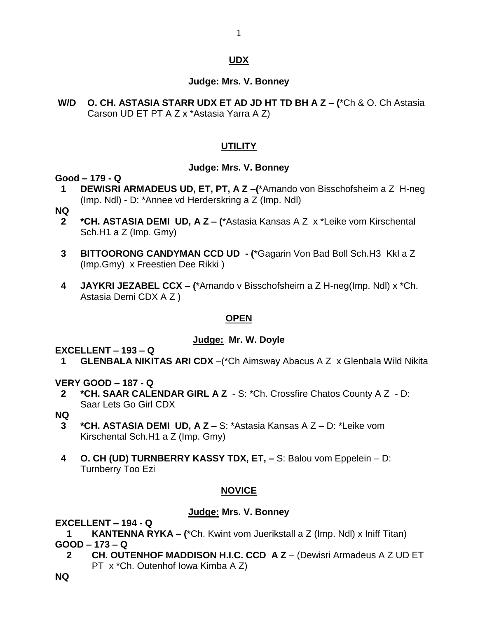## **UDX**

1

#### **Judge: Mrs. V. Bonney**

**W/D O. CH. ASTASIA STARR UDX ET AD JD HT TD BH A Z – (**\*Ch & O. Ch Astasia Carson UD ET PT A Z x \*Astasia Yarra A Z)

## **UTILITY**

#### **Judge: Mrs. V. Bonney**

#### **Good – 179 - Q**

**1 DEWISRI ARMADEUS UD, ET, PT, A Z –(**\*Amando von Bisschofsheim a Z H-neg (Imp. Ndl) - D: \*Annee vd Herderskring a Z (Imp. Ndl)

#### **NQ**

- **2 \*CH. ASTASIA DEMI UD, A Z – (**\*Astasia Kansas A Z x \*Leike vom Kirschental Sch.H1 a Z (Imp. Gmy)
- **3 BITTOORONG CANDYMAN CCD UD - (**\*Gagarin Von Bad Boll Sch.H3 Kkl a Z (Imp.Gmy) x Freestien Dee Rikki )
- **4 JAYKRI JEZABEL CCX – (**\*Amando v Bisschofsheim a Z H-neg(Imp. Ndl) x \*Ch. Astasia Demi CDX A Z )

## **OPEN**

#### **Judge: Mr. W. Doyle**

**EXCELLENT – 193 – Q**

**1 GLENBALA NIKITAS ARI CDX** –(\*Ch Aimsway Abacus A Z x Glenbala Wild Nikita

## **VERY GOOD – 187 - Q**

- **2 \*CH. SAAR CALENDAR GIRL A Z**  S: \*Ch. Crossfire Chatos County A Z D: Saar Lets Go Girl CDX
- **NQ**
	- **3 \*CH. ASTASIA DEMI UD, A Z –** S: \*Astasia Kansas A Z D: \*Leike vom Kirschental Sch.H1 a Z (Imp. Gmy)
	- **4 O. CH (UD) TURNBERRY KASSY TDX, ET, –** S: Balou vom Eppelein D: Turnberry Too Ezi

## **NOVICE**

## **Judge: Mrs. V. Bonney**

## **EXCELLENT – 194 - Q**

**1 KANTENNA RYKA – (**\*Ch. Kwint vom Juerikstall a Z (Imp. Ndl) x Iniff Titan) **GOOD – 173 – Q**

**2 CH. OUTENHOF MADDISON H.I.C. CCD A Z** – (Dewisri Armadeus A Z UD ET PT x \*Ch. Outenhof Iowa Kimba A Z)